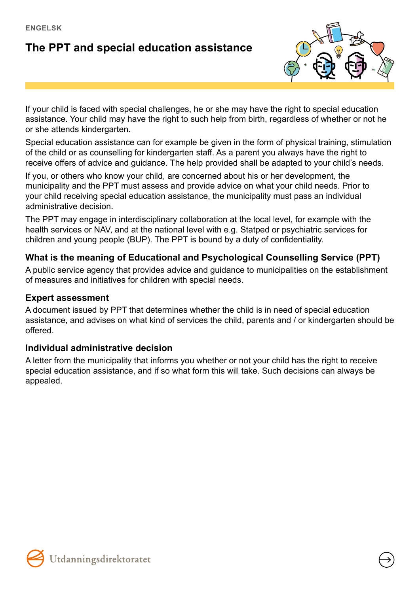# **The PPT and special education assistance**



If your child is faced with special challenges, he or she may have the right to special education assistance. Your child may have the right to such help from birth, regardless of whether or not he or she attends kindergarten.

Special education assistance can for example be given in the form of physical training, stimulation of the child or as counselling for kindergarten staff. As a parent you always have the right to receive offers of advice and guidance. The help provided shall be adapted to your child's needs.

If you, or others who know your child, are concerned about his or her development, the municipality and the PPT must assess and provide advice on what your child needs. Prior to your child receiving special education assistance, the municipality must pass an individual administrative decision.

The PPT may engage in interdisciplinary collaboration at the local level, for example with the health services or NAV, and at the national level with e.g. Statped or psychiatric services for children and young people (BUP). The PPT is bound by a duty of confidentiality.

## **What is the meaning of Educational and Psychological Counselling Service (PPT)**

A public service agency that provides advice and guidance to municipalities on the establishment of measures and initiatives for children with special needs.

### **Expert assessment**

A document issued by PPT that determines whether the child is in need of special education assistance, and advises on what kind of services the child, parents and / or kindergarten should be offered.

### **Individual administrative decision**

A letter from the municipality that informs you whether or not your child has the right to receive special education assistance, and if so what form this will take. Such decisions can always be appealed.